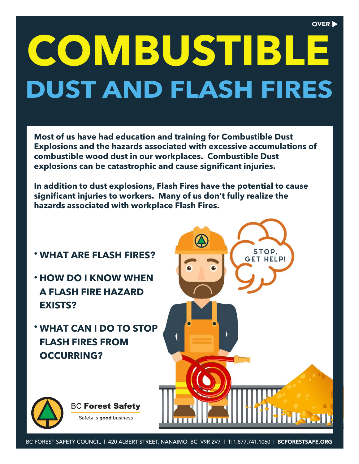#### OVER **D**

# **DUST AND FLASH FIRES COMBUSTIBLE**

**Most of us have had education and training for Combustible Dust Explosions and the hazards associated with excessive accumulations of combustible wood dust in our workplaces. Combustible Dust explosions can be catastrophic and cause significant injuries.**

**In addition to dust explosions, Flash Fires have the potential to cause significant injuries to workers. Many of us don't fully realize the hazards associated with workplace Flash Fires.**